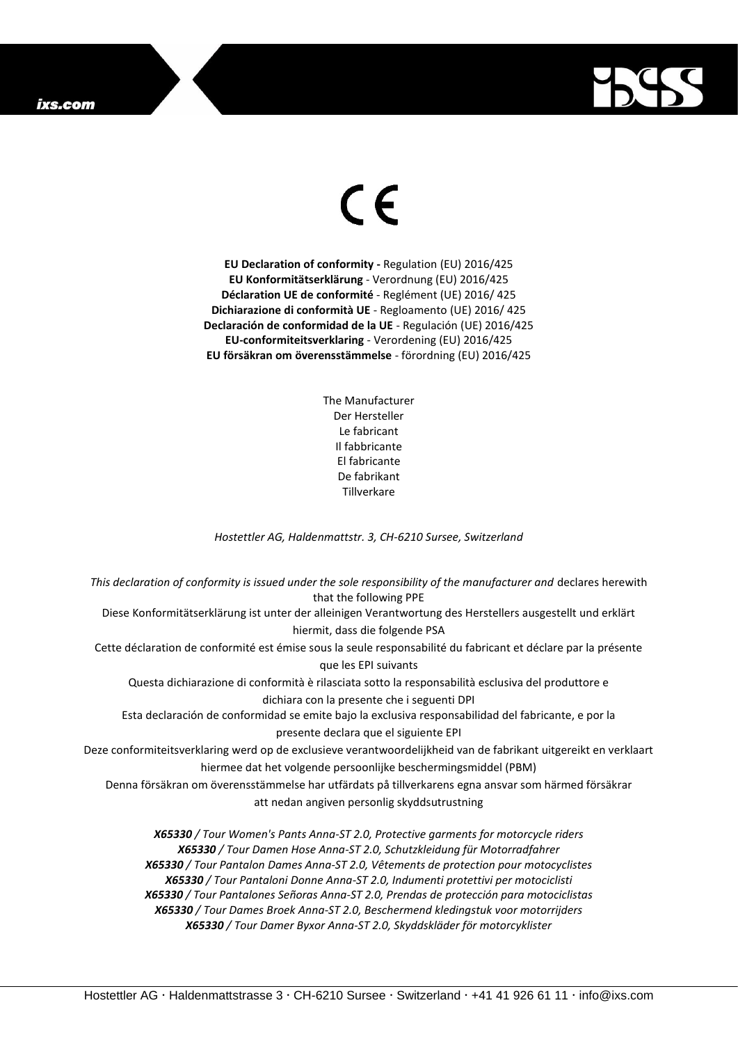## ixs.com



## $\epsilon$

**EU Declaration of conformity -** Regulation (EU) 2016/425 **EU Konformitätserklärung** - Verordnung (EU) 2016/425 **Déclaration UE de conformité** - Reglément (UE) 2016/ 425 **Dichiarazione di conformità UE** - Regloamento (UE) 2016/ 425 **Declaración de conformidad de la UE** - Regulación (UE) 2016/425 **EU-conformiteitsverklaring** - Verordening (EU) 2016/425 **EU försäkran om överensstämmelse** - förordning (EU) 2016/425

> The Manufacturer Der Hersteller Le fabricant Il fabbricante El fabricante De fabrikant **Tillverkare**

*Hostettler AG, Haldenmattstr. 3, CH-6210 Sursee, Switzerland*

*This declaration of conformity is issued under the sole responsibility of the manufacturer and* declares herewith that the following PPE Diese Konformitätserklärung ist unter der alleinigen Verantwortung des Herstellers ausgestellt und erklärt hiermit, dass die folgende PSA Cette déclaration de conformité est émise sous la seule responsabilité du fabricant et déclare par la présente que les EPI suivants Questa dichiarazione di conformità è rilasciata sotto la responsabilità esclusiva del produttore e dichiara con la presente che i seguenti DPI Esta declaración de conformidad se emite bajo la exclusiva responsabilidad del fabricante, e por la presente declara que el siguiente EPI Deze conformiteitsverklaring werd op de exclusieve verantwoordelijkheid van de fabrikant uitgereikt en verklaart hiermee dat het volgende persoonlijke beschermingsmiddel (PBM) Denna försäkran om överensstämmelse har utfärdats på tillverkarens egna ansvar som härmed försäkrar att nedan angiven personlig skyddsutrustning *X65330 / Tour Women's Pants Anna-ST 2.0, Protective garments for motorcycle riders X65330 / Tour Damen Hose Anna-ST 2.0, Schutzkleidung für Motorradfahrer X65330 / Tour Pantalon Dames Anna-ST 2.0, Vêtements de protection pour motocyclistes X65330 / Tour Pantaloni Donne Anna-ST 2.0, Indumenti protettivi per motociclisti*

*X65330 / Tour Pantalones Señoras Anna-ST 2.0, Prendas de protección para motociclistas*

*X65330 / Tour Dames Broek Anna-ST 2.0, Beschermend kledingstuk voor motorrijders X65330 / Tour Damer Byxor Anna-ST 2.0, Skyddskläder för motorcyklister*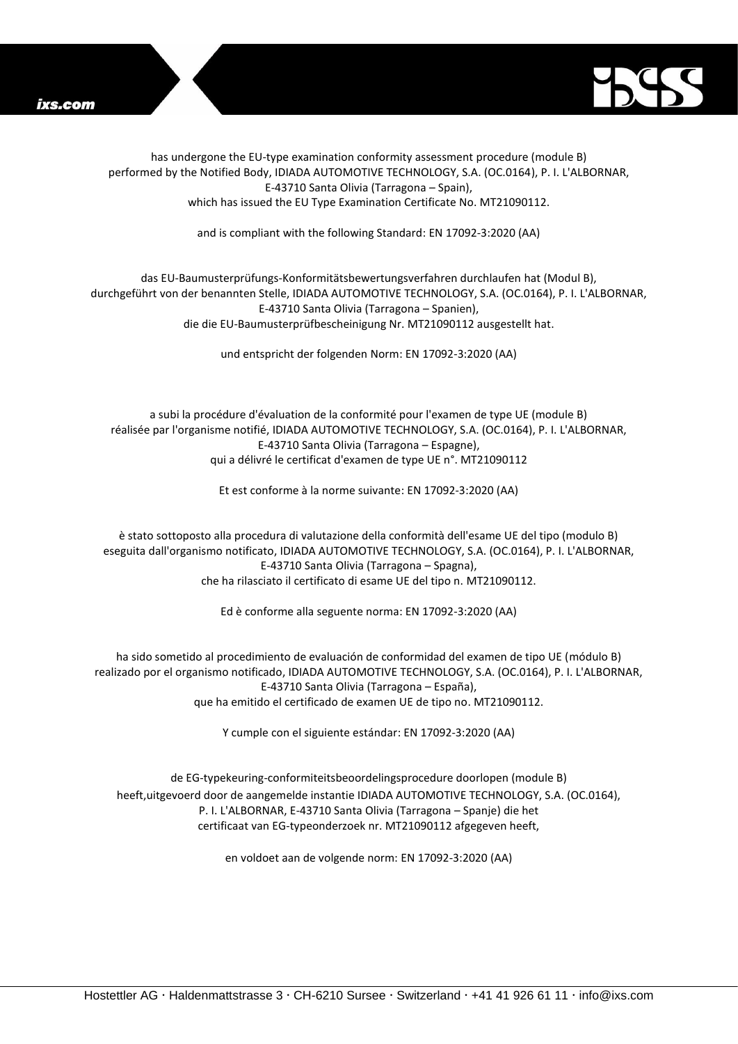



has undergone the EU-type examination conformity assessment procedure (module B) performed by the Notified Body, IDIADA AUTOMOTIVE TECHNOLOGY, S.A. (OC.0164), P. I. L'ALBORNAR, E-43710 Santa Olivia (Tarragona – Spain), which has issued the EU Type Examination Certificate No. MT21090112.

and is compliant with the following Standard: EN 17092-3:2020 (AA)

## das EU-Baumusterprüfungs-Konformitätsbewertungsverfahren durchlaufen hat (Modul B), durchgeführt von der benannten Stelle, IDIADA AUTOMOTIVE TECHNOLOGY, S.A. (OC.0164), P. I. L'ALBORNAR, E-43710 Santa Olivia (Tarragona – Spanien), die die EU-Baumusterprüfbescheinigung Nr. MT21090112 ausgestellt hat.

und entspricht der folgenden Norm: EN 17092-3:2020 (AA)

a subi la procédure d'évaluation de la conformité pour l'examen de type UE (module B) réalisée par l'organisme notifié, IDIADA AUTOMOTIVE TECHNOLOGY, S.A. (OC.0164), P. I. L'ALBORNAR, E-43710 Santa Olivia (Tarragona – Espagne), qui a délivré le certificat d'examen de type UE n°. MT21090112

Et est conforme à la norme suivante: EN 17092-3:2020 (AA)

è stato sottoposto alla procedura di valutazione della conformità dell'esame UE del tipo (modulo B) eseguita dall'organismo notificato, IDIADA AUTOMOTIVE TECHNOLOGY, S.A. (OC.0164), P. I. L'ALBORNAR, E-43710 Santa Olivia (Tarragona – Spagna), che ha rilasciato il certificato di esame UE del tipo n. MT21090112.

Ed è conforme alla seguente norma: EN 17092-3:2020 (AA)

ha sido sometido al procedimiento de evaluación de conformidad del examen de tipo UE (módulo B) realizado por el organismo notificado, IDIADA AUTOMOTIVE TECHNOLOGY, S.A. (OC.0164), P. I. L'ALBORNAR, E-43710 Santa Olivia (Tarragona – España), que ha emitido el certificado de examen UE de tipo no. MT21090112.

Y cumple con el siguiente estándar: EN 17092-3:2020 (AA)

de EG-typekeuring-conformiteitsbeoordelingsprocedure doorlopen (module B) heeft,uitgevoerd door de aangemelde instantie IDIADA AUTOMOTIVE TECHNOLOGY, S.A. (OC.0164), P. I. L'ALBORNAR, E-43710 Santa Olivia (Tarragona – Spanje) die het certificaat van EG-typeonderzoek nr. MT21090112 afgegeven heeft,

en voldoet aan de volgende norm: EN 17092-3:2020 (AA)